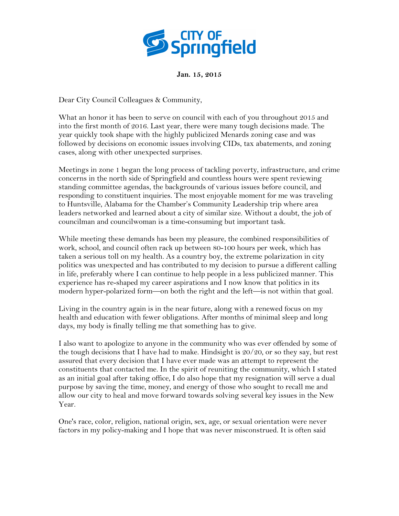

## **Jan. 15, 2015**

Dear City Council Colleagues & Community,

What an honor it has been to serve on council with each of you throughout 2015 and into the first month of 2016. Last year, there were many tough decisions made. The year quickly took shape with the highly publicized Menards zoning case and was followed by decisions on economic issues involving CIDs, tax abatements, and zoning cases, along with other unexpected surprises.

Meetings in zone 1 began the long process of tackling poverty, infrastructure, and crime concerns in the north side of Springfield and countless hours were spent reviewing standing committee agendas, the backgrounds of various issues before council, and responding to constituent inquiries. The most enjoyable moment for me was traveling to Huntsville, Alabama for the Chamber's Community Leadership trip where area leaders networked and learned about a city of similar size. Without a doubt, the job of councilman and councilwoman is a time-consuming but important task.

While meeting these demands has been my pleasure, the combined responsibilities of work, school, and council often rack up between 80-100 hours per week, which has taken a serious toll on my health. As a country boy, the extreme polarization in city politics was unexpected and has contributed to my decision to pursue a different calling in life, preferably where I can continue to help people in a less publicized manner. This experience has re-shaped my career aspirations and I now know that politics in its modern hyper-polarized form—on both the right and the left—is not within that goal.

Living in the country again is in the near future, along with a renewed focus on my health and education with fewer obligations. After months of minimal sleep and long days, my body is finally telling me that something has to give.

I also want to apologize to anyone in the community who was ever offended by some of the tough decisions that I have had to make. Hindsight is  $20/20$ , or so they say, but rest assured that every decision that I have ever made was an attempt to represent the constituents that contacted me. In the spirit of reuniting the community, which I stated as an initial goal after taking office, I do also hope that my resignation will serve a dual purpose by saving the time, money, and energy of those who sought to recall me and allow our city to heal and move forward towards solving several key issues in the New Year.

One's race, color, religion, national origin, sex, age, or sexual orientation were never factors in my policy-making and I hope that was never misconstrued. It is often said